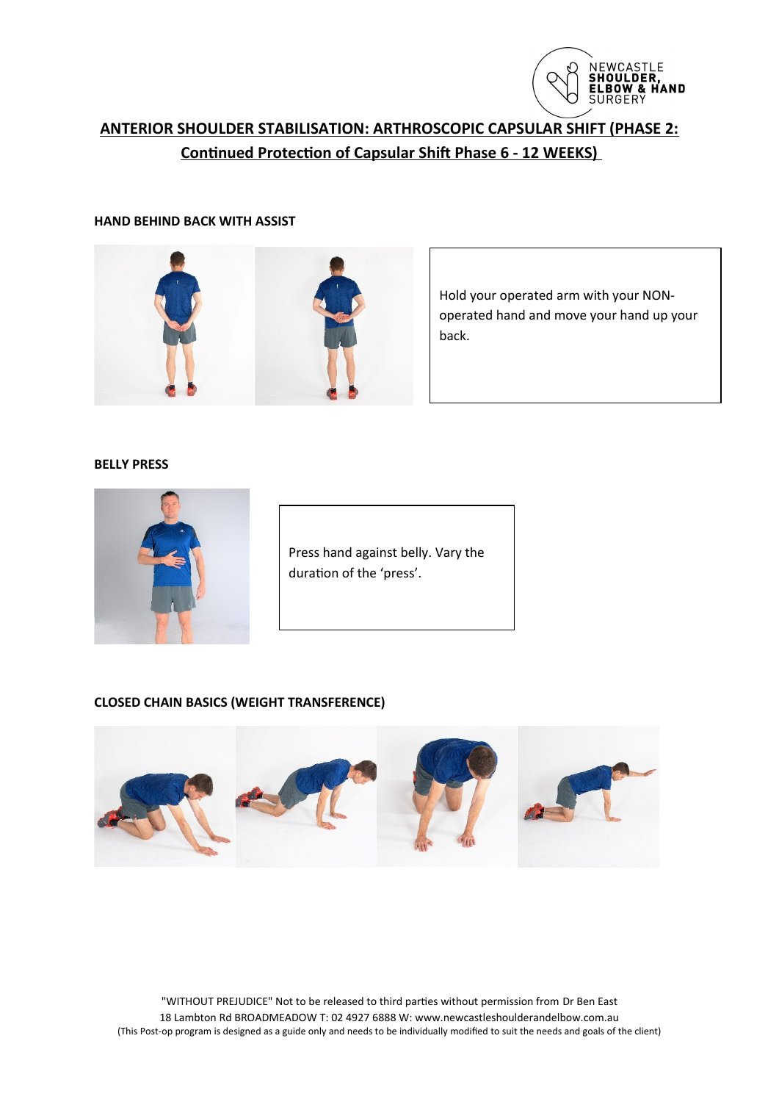

# **ANTERIOR SHOULDER STABILISATION: ARTHROSCOPIC CAPSULAR SHIFT (PHASE 2: Continued Protection of Capsular Shift Phase 6 - 12 WEEKS)**

### **HAND BEHIND BACK WITH ASSIST**



Hold your operated arm with your NONoperated hand and move your hand up your back.

## **BELLY PRESS**



Press hand against belly. Vary the duration of the 'press'.

## **CLOSED CHAIN BASICS (WEIGHT TRANSFERENCE)**



"WITHOUT PREJUDICE" Not to be released to third parties without permission from Dr Ben East 18 Lambton Rd BROADMEADOW T: 02 4927 6888 W: www.newcastleshoulderandelbow.com.au (This Post-op program is designed as a guide only and needs to be individually modified to suit the needs and goals of the client)